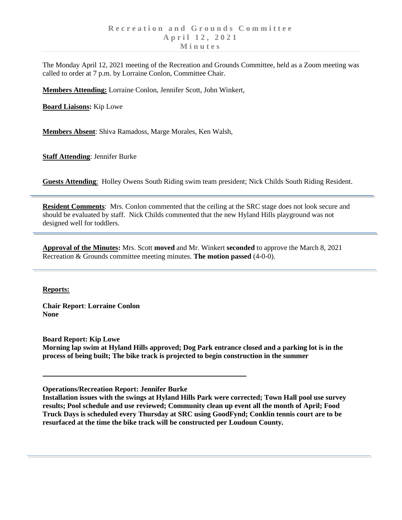The Monday April 12, 2021 meeting of the Recreation and Grounds Committee, held as a Zoom meeting was called to order at 7 p.m. by Lorraine Conlon, Committee Chair.

**Members Attending:** Lorraine Conlon, Jennifer Scott, John Winkert,

**Board Liaisons:** Kip Lowe

**Members Absent**: Shiva Ramadoss, Marge Morales, Ken Walsh,

**Staff Attending**: Jennifer Burke

**Guests Attending**: Holley Owens South Riding swim team president; Nick Childs South Riding Resident.

**Resident Comments**: Mrs. Conlon commented that the ceiling at the SRC stage does not look secure and should be evaluated by staff. Nick Childs commented that the new Hyland Hills playground was not designed well for toddlers.

**Approval of the Minutes:** Mrs. Scott **moved** and Mr. Winkert **seconded** to approve the March 8, 2021 Recreation & Grounds committee meeting minutes. **The motion passed** (4-0-0).

## **Reports:**

**Chair Report**: **Lorraine Conlon None**

**Board Report: Kip Lowe Morning lap swim at Hyland Hills approved; Dog Park entrance closed and a parking lot is in the process of being built; The bike track is projected to begin construction in the summer**

**Operations/Recreation Report: Jennifer Burke**

**Installation issues with the swings at Hyland Hills Park were corrected; Town Hall pool use survey results; Pool schedule and use reviewed; Community clean up event all the month of April; Food Truck Days is scheduled every Thursday at SRC using GoodFynd; Conklin tennis court are to be resurfaced at the time the bike track will be constructed per Loudoun County.**